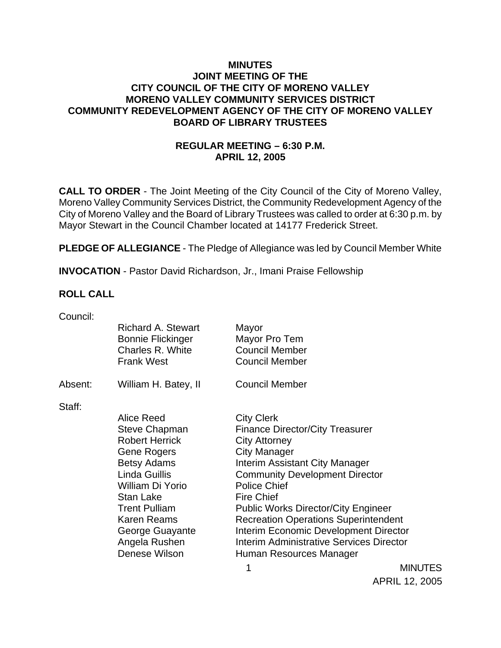# **MINUTES JOINT MEETING OF THE CITY COUNCIL OF THE CITY OF MORENO VALLEY MORENO VALLEY COMMUNITY SERVICES DISTRICT COMMUNITY REDEVELOPMENT AGENCY OF THE CITY OF MORENO VALLEY BOARD OF LIBRARY TRUSTEES**

# **REGULAR MEETING – 6:30 P.M. APRIL 12, 2005**

**CALL TO ORDER** - The Joint Meeting of the City Council of the City of Moreno Valley, Moreno Valley Community Services District, the Community Redevelopment Agency of the City of Moreno Valley and the Board of Library Trustees was called to order at 6:30 p.m. by Mayor Stewart in the Council Chamber located at 14177 Frederick Street.

**PLEDGE OF ALLEGIANCE** - The Pledge of Allegiance was led by Council Member White

**INVOCATION** - Pastor David Richardson, Jr., Imani Praise Fellowship

### **ROLL CALL**

| Council: |                                                       |                                                 |                |
|----------|-------------------------------------------------------|-------------------------------------------------|----------------|
|          | <b>Richard A. Stewart</b><br><b>Bonnie Flickinger</b> | Mayor<br>Mayor Pro Tem                          |                |
|          | Charles R. White<br><b>Frank West</b>                 | <b>Council Member</b><br><b>Council Member</b>  |                |
| Absent:  | William H. Batey, II                                  | <b>Council Member</b>                           |                |
| Staff:   |                                                       |                                                 |                |
|          | Alice Reed                                            | <b>City Clerk</b>                               |                |
|          | <b>Steve Chapman</b>                                  | <b>Finance Director/City Treasurer</b>          |                |
|          | <b>Robert Herrick</b>                                 | <b>City Attorney</b>                            |                |
|          | Gene Rogers                                           | <b>City Manager</b>                             |                |
|          | <b>Betsy Adams</b>                                    | Interim Assistant City Manager                  |                |
|          | Linda Guillis                                         | <b>Community Development Director</b>           |                |
|          | William Di Yorio<br>Stan Lake                         | <b>Police Chief</b><br><b>Fire Chief</b>        |                |
|          | <b>Trent Pulliam</b>                                  | <b>Public Works Director/City Engineer</b>      |                |
|          | <b>Karen Reams</b>                                    | <b>Recreation Operations Superintendent</b>     |                |
|          | George Guayante                                       | <b>Interim Economic Development Director</b>    |                |
|          | Angela Rushen                                         | <b>Interim Administrative Services Director</b> |                |
|          | Denese Wilson                                         | Human Resources Manager                         |                |
|          |                                                       | 1                                               | <b>MINUTES</b> |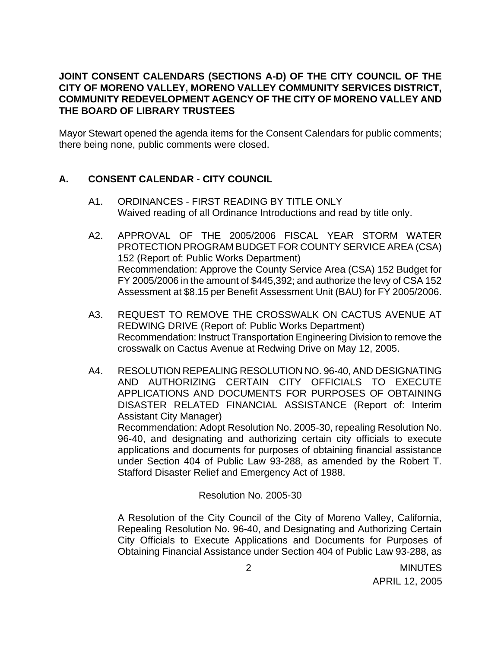# **JOINT CONSENT CALENDARS (SECTIONS A-D) OF THE CITY COUNCIL OF THE CITY OF MORENO VALLEY, MORENO VALLEY COMMUNITY SERVICES DISTRICT, COMMUNITY REDEVELOPMENT AGENCY OF THE CITY OF MORENO VALLEY AND THE BOARD OF LIBRARY TRUSTEES**

Mayor Stewart opened the agenda items for the Consent Calendars for public comments; there being none, public comments were closed.

# **A. CONSENT CALENDAR** - **CITY COUNCIL**

- A1. ORDINANCES FIRST READING BY TITLE ONLY Waived reading of all Ordinance Introductions and read by title only.
- A2. APPROVAL OF THE 2005/2006 FISCAL YEAR STORM WATER PROTECTION PROGRAM BUDGET FOR COUNTY SERVICE AREA (CSA) 152 (Report of: Public Works Department) Recommendation: Approve the County Service Area (CSA) 152 Budget for FY 2005/2006 in the amount of \$445,392; and authorize the levy of CSA 152 Assessment at \$8.15 per Benefit Assessment Unit (BAU) for FY 2005/2006.
- A3. REQUEST TO REMOVE THE CROSSWALK ON CACTUS AVENUE AT REDWING DRIVE (Report of: Public Works Department) Recommendation: Instruct Transportation Engineering Division to remove the crosswalk on Cactus Avenue at Redwing Drive on May 12, 2005.
- A4. RESOLUTION REPEALING RESOLUTION NO. 96-40, AND DESIGNATING AND AUTHORIZING CERTAIN CITY OFFICIALS TO EXECUTE APPLICATIONS AND DOCUMENTS FOR PURPOSES OF OBTAINING DISASTER RELATED FINANCIAL ASSISTANCE (Report of: Interim Assistant City Manager) Recommendation: Adopt Resolution No. 2005-30, repealing Resolution No. 96-40, and designating and authorizing certain city officials to execute applications and documents for purposes of obtaining financial assistance under Section 404 of Public Law 93-288, as amended by the Robert T. Stafford Disaster Relief and Emergency Act of 1988.

Resolution No. 2005-30

 A Resolution of the City Council of the City of Moreno Valley, California, Repealing Resolution No. 96-40, and Designating and Authorizing Certain City Officials to Execute Applications and Documents for Purposes of Obtaining Financial Assistance under Section 404 of Public Law 93-288, as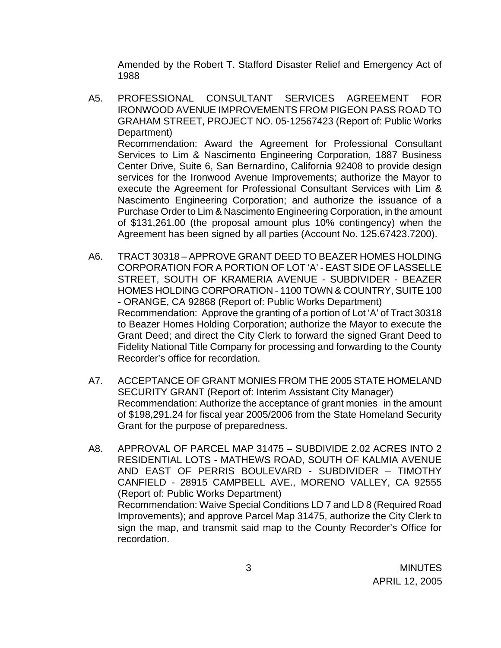Amended by the Robert T. Stafford Disaster Relief and Emergency Act of 1988

- A5. PROFESSIONAL CONSULTANT SERVICES AGREEMENT FOR IRONWOOD AVENUE IMPROVEMENTS FROM PIGEON PASS ROAD TO GRAHAM STREET, PROJECT NO. 05-12567423 (Report of: Public Works Department) Recommendation: Award the Agreement for Professional Consultant Services to Lim & Nascimento Engineering Corporation, 1887 Business Center Drive, Suite 6, San Bernardino, California 92408 to provide design services for the Ironwood Avenue Improvements; authorize the Mayor to execute the Agreement for Professional Consultant Services with Lim & Nascimento Engineering Corporation; and authorize the issuance of a Purchase Order to Lim & Nascimento Engineering Corporation, in the amount of \$131,261.00 (the proposal amount plus 10% contingency) when the Agreement has been signed by all parties (Account No. 125.67423.7200).
- A6. TRACT 30318 APPROVE GRANT DEED TO BEAZER HOMES HOLDING CORPORATION FOR A PORTION OF LOT 'A' - EAST SIDE OF LASSELLE STREET, SOUTH OF KRAMERIA AVENUE - SUBDIVIDER - BEAZER HOMES HOLDING CORPORATION - 1100 TOWN & COUNTRY, SUITE 100 - ORANGE, CA 92868 (Report of: Public Works Department) Recommendation: Approve the granting of a portion of Lot 'A' of Tract 30318 to Beazer Homes Holding Corporation; authorize the Mayor to execute the Grant Deed; and direct the City Clerk to forward the signed Grant Deed to Fidelity National Title Company for processing and forwarding to the County Recorder's office for recordation.
- A7. ACCEPTANCE OF GRANT MONIES FROM THE 2005 STATE HOMELAND SECURITY GRANT (Report of: Interim Assistant City Manager) Recommendation: Authorize the acceptance of grant monies in the amount of \$198,291.24 for fiscal year 2005/2006 from the State Homeland Security Grant for the purpose of preparedness.
- A8. APPROVAL OF PARCEL MAP 31475 SUBDIVIDE 2.02 ACRES INTO 2 RESIDENTIAL LOTS - MATHEWS ROAD, SOUTH OF KALMIA AVENUE AND EAST OF PERRIS BOULEVARD - SUBDIVIDER – TIMOTHY CANFIELD - 28915 CAMPBELL AVE., MORENO VALLEY, CA 92555 (Report of: Public Works Department) Recommendation: Waive Special Conditions LD 7 and LD 8 (Required Road Improvements); and approve Parcel Map 31475, authorize the City Clerk to sign the map, and transmit said map to the County Recorder's Office for recordation.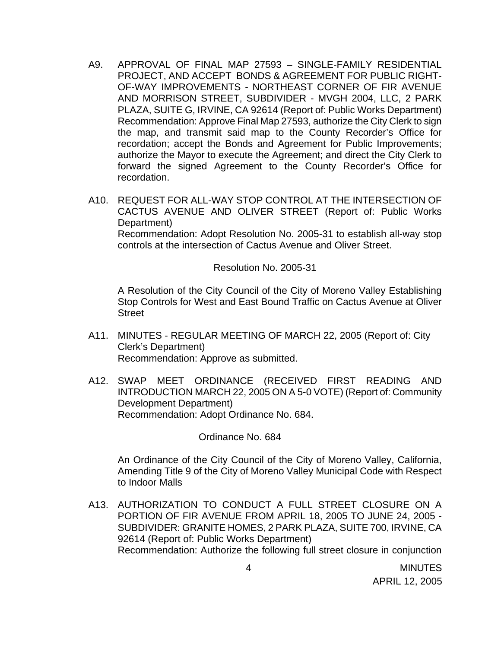- A9. APPROVAL OF FINAL MAP 27593 SINGLE-FAMILY RESIDENTIAL PROJECT, AND ACCEPT BONDS & AGREEMENT FOR PUBLIC RIGHT-OF-WAY IMPROVEMENTS - NORTHEAST CORNER OF FIR AVENUE AND MORRISON STREET, SUBDIVIDER - MVGH 2004, LLC, 2 PARK PLAZA, SUITE G, IRVINE, CA 92614 (Report of: Public Works Department) Recommendation: Approve Final Map 27593, authorize the City Clerk to sign the map, and transmit said map to the County Recorder's Office for recordation; accept the Bonds and Agreement for Public Improvements; authorize the Mayor to execute the Agreement; and direct the City Clerk to forward the signed Agreement to the County Recorder's Office for recordation.
- A10. REQUEST FOR ALL-WAY STOP CONTROL AT THE INTERSECTION OF CACTUS AVENUE AND OLIVER STREET (Report of: Public Works Department)

 Recommendation: Adopt Resolution No. 2005-31 to establish all-way stop controls at the intersection of Cactus Avenue and Oliver Street.

Resolution No. 2005-31

 A Resolution of the City Council of the City of Moreno Valley Establishing Stop Controls for West and East Bound Traffic on Cactus Avenue at Oliver **Street** 

- A11. MINUTES REGULAR MEETING OF MARCH 22, 2005 (Report of: City Clerk's Department) Recommendation: Approve as submitted.
- A12. SWAP MEET ORDINANCE (RECEIVED FIRST READING AND INTRODUCTION MARCH 22, 2005 ON A 5-0 VOTE) (Report of: Community Development Department) Recommendation: Adopt Ordinance No. 684.

Ordinance No. 684

An Ordinance of the City Council of the City of Moreno Valley, California, Amending Title 9 of the City of Moreno Valley Municipal Code with Respect to Indoor Malls

A13. AUTHORIZATION TO CONDUCT A FULL STREET CLOSURE ON A PORTION OF FIR AVENUE FROM APRIL 18, 2005 TO JUNE 24, 2005 - SUBDIVIDER: GRANITE HOMES, 2 PARK PLAZA, SUITE 700, IRVINE, CA 92614 (Report of: Public Works Department) Recommendation: Authorize the following full street closure in conjunction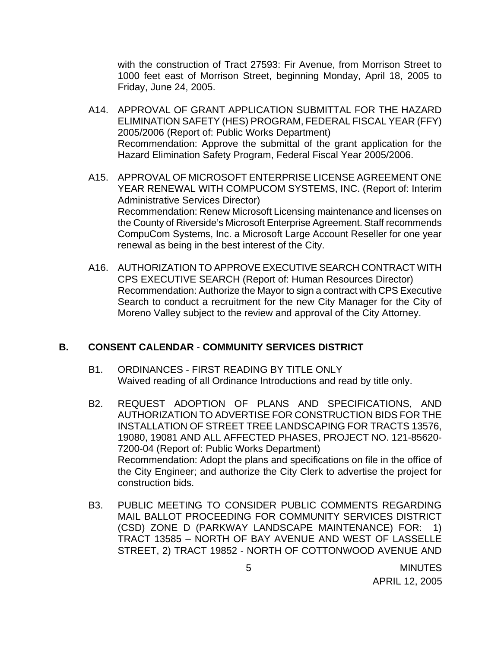with the construction of Tract 27593: Fir Avenue, from Morrison Street to 1000 feet east of Morrison Street, beginning Monday, April 18, 2005 to Friday, June 24, 2005.

- A14. APPROVAL OF GRANT APPLICATION SUBMITTAL FOR THE HAZARD ELIMINATION SAFETY (HES) PROGRAM, FEDERAL FISCAL YEAR (FFY) 2005/2006 (Report of: Public Works Department) Recommendation: Approve the submittal of the grant application for the Hazard Elimination Safety Program, Federal Fiscal Year 2005/2006.
- A15. APPROVAL OF MICROSOFT ENTERPRISE LICENSE AGREEMENT ONE YEAR RENEWAL WITH COMPUCOM SYSTEMS, INC. (Report of: Interim Administrative Services Director) Recommendation: Renew Microsoft Licensing maintenance and licenses on the County of Riverside's Microsoft Enterprise Agreement. Staff recommends CompuCom Systems, Inc. a Microsoft Large Account Reseller for one year renewal as being in the best interest of the City.
- A16. AUTHORIZATION TO APPROVE EXECUTIVE SEARCH CONTRACT WITH CPS EXECUTIVE SEARCH (Report of: Human Resources Director) Recommendation: Authorize the Mayor to sign a contract with CPS Executive Search to conduct a recruitment for the new City Manager for the City of Moreno Valley subject to the review and approval of the City Attorney.

## **B. CONSENT CALENDAR** - **COMMUNITY SERVICES DISTRICT**

- B1. ORDINANCES FIRST READING BY TITLE ONLY Waived reading of all Ordinance Introductions and read by title only.
- B2. REQUEST ADOPTION OF PLANS AND SPECIFICATIONS, AND AUTHORIZATION TO ADVERTISE FOR CONSTRUCTION BIDS FOR THE INSTALLATION OF STREET TREE LANDSCAPING FOR TRACTS 13576, 19080, 19081 AND ALL AFFECTED PHASES, PROJECT NO. 121-85620- 7200-04 (Report of: Public Works Department) Recommendation: Adopt the plans and specifications on file in the office of the City Engineer; and authorize the City Clerk to advertise the project for construction bids.
- B3. PUBLIC MEETING TO CONSIDER PUBLIC COMMENTS REGARDING MAIL BALLOT PROCEEDING FOR COMMUNITY SERVICES DISTRICT (CSD) ZONE D (PARKWAY LANDSCAPE MAINTENANCE) FOR: 1) TRACT 13585 – NORTH OF BAY AVENUE AND WEST OF LASSELLE STREET, 2) TRACT 19852 - NORTH OF COTTONWOOD AVENUE AND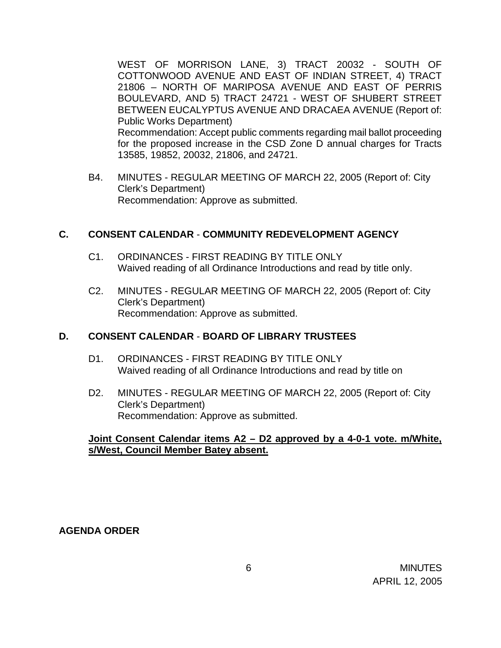WEST OF MORRISON LANE, 3) TRACT 20032 - SOUTH OF COTTONWOOD AVENUE AND EAST OF INDIAN STREET, 4) TRACT 21806 – NORTH OF MARIPOSA AVENUE AND EAST OF PERRIS BOULEVARD, AND 5) TRACT 24721 - WEST OF SHUBERT STREET BETWEEN EUCALYPTUS AVENUE AND DRACAEA AVENUE (Report of: Public Works Department) Recommendation: Accept public comments regarding mail ballot proceeding for the proposed increase in the CSD Zone D annual charges for Tracts 13585, 19852, 20032, 21806, and 24721.

B4. MINUTES - REGULAR MEETING OF MARCH 22, 2005 (Report of: City Clerk's Department) Recommendation: Approve as submitted.

## **C. CONSENT CALENDAR** - **COMMUNITY REDEVELOPMENT AGENCY**

- C1. ORDINANCES FIRST READING BY TITLE ONLY Waived reading of all Ordinance Introductions and read by title only.
- C2. MINUTES REGULAR MEETING OF MARCH 22, 2005 (Report of: City Clerk's Department) Recommendation: Approve as submitted.

#### **D. CONSENT CALENDAR** - **BOARD OF LIBRARY TRUSTEES**

- D1. ORDINANCES FIRST READING BY TITLE ONLY Waived reading of all Ordinance Introductions and read by title on
- D2. MINUTES REGULAR MEETING OF MARCH 22, 2005 (Report of: City Clerk's Department) Recommendation: Approve as submitted.

## **Joint Consent Calendar items A2 – D2 approved by a 4-0-1 vote. m/White, s/West, Council Member Batey absent.**

## **AGENDA ORDER**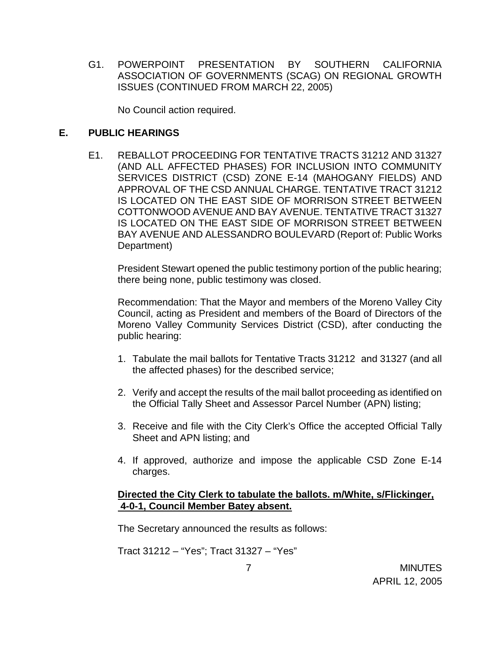G1. POWERPOINT PRESENTATION BY SOUTHERN CALIFORNIA ASSOCIATION OF GOVERNMENTS (SCAG) ON REGIONAL GROWTH ISSUES (CONTINUED FROM MARCH 22, 2005)

No Council action required.

# **E. PUBLIC HEARINGS**

E1. REBALLOT PROCEEDING FOR TENTATIVE TRACTS 31212 AND 31327 (AND ALL AFFECTED PHASES) FOR INCLUSION INTO COMMUNITY SERVICES DISTRICT (CSD) ZONE E-14 (MAHOGANY FIELDS) AND APPROVAL OF THE CSD ANNUAL CHARGE. TENTATIVE TRACT 31212 IS LOCATED ON THE EAST SIDE OF MORRISON STREET BETWEEN COTTONWOOD AVENUE AND BAY AVENUE. TENTATIVE TRACT 31327 IS LOCATED ON THE EAST SIDE OF MORRISON STREET BETWEEN BAY AVENUE AND ALESSANDRO BOULEVARD (Report of: Public Works Department)

 President Stewart opened the public testimony portion of the public hearing; there being none, public testimony was closed.

 Recommendation: That the Mayor and members of the Moreno Valley City Council, acting as President and members of the Board of Directors of the Moreno Valley Community Services District (CSD), after conducting the public hearing:

- 1. Tabulate the mail ballots for Tentative Tracts 31212 and 31327 (and all the affected phases) for the described service;
- 2. Verify and accept the results of the mail ballot proceeding as identified on the Official Tally Sheet and Assessor Parcel Number (APN) listing;
- 3. Receive and file with the City Clerk's Office the accepted Official Tally Sheet and APN listing; and
- 4. If approved, authorize and impose the applicable CSD Zone E-14 charges.

# **Directed the City Clerk to tabulate the ballots. m/White, s/Flickinger, 4-0-1, Council Member Batey absent.**

The Secretary announced the results as follows:

Tract 31212 – "Yes"; Tract 31327 – "Yes"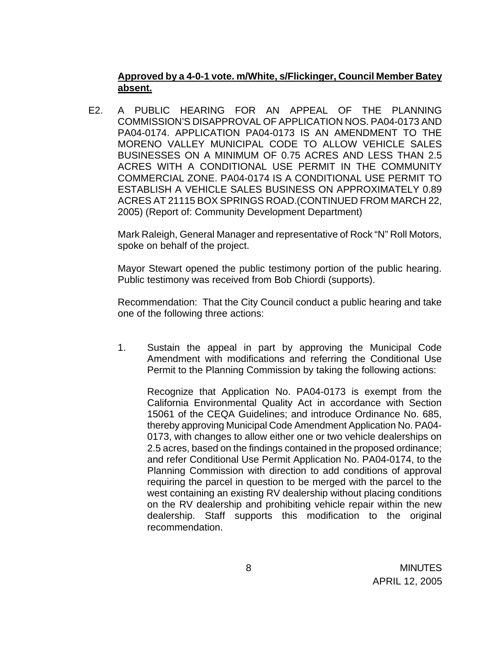# **Approved by a 4-0-1 vote. m/White, s/Flickinger, Council Member Batey absent.**

E2. A PUBLIC HEARING FOR AN APPEAL OF THE PLANNING COMMISSION'S DISAPPROVAL OF APPLICATION NOS. PA04-0173 AND PA04-0174. APPLICATION PA04-0173 IS AN AMENDMENT TO THE MORENO VALLEY MUNICIPAL CODE TO ALLOW VEHICLE SALES BUSINESSES ON A MINIMUM OF 0.75 ACRES AND LESS THAN 2.5 ACRES WITH A CONDITIONAL USE PERMIT IN THE COMMUNITY COMMERCIAL ZONE. PA04-0174 IS A CONDITIONAL USE PERMIT TO ESTABLISH A VEHICLE SALES BUSINESS ON APPROXIMATELY 0.89 ACRES AT 21115 BOX SPRINGS ROAD.(CONTINUED FROM MARCH 22, 2005) (Report of: Community Development Department)

 Mark Raleigh, General Manager and representative of Rock "N" Roll Motors, spoke on behalf of the project.

 Mayor Stewart opened the public testimony portion of the public hearing. Public testimony was received from Bob Chiordi (supports).

 Recommendation: That the City Council conduct a public hearing and take one of the following three actions:

1. Sustain the appeal in part by approving the Municipal Code Amendment with modifications and referring the Conditional Use Permit to the Planning Commission by taking the following actions:

Recognize that Application No. PA04-0173 is exempt from the California Environmental Quality Act in accordance with Section 15061 of the CEQA Guidelines; and introduce Ordinance No. 685, thereby approving Municipal Code Amendment Application No. PA04- 0173, with changes to allow either one or two vehicle dealerships on 2.5 acres, based on the findings contained in the proposed ordinance; and refer Conditional Use Permit Application No. PA04-0174, to the Planning Commission with direction to add conditions of approval requiring the parcel in question to be merged with the parcel to the west containing an existing RV dealership without placing conditions on the RV dealership and prohibiting vehicle repair within the new dealership. Staff supports this modification to the original recommendation.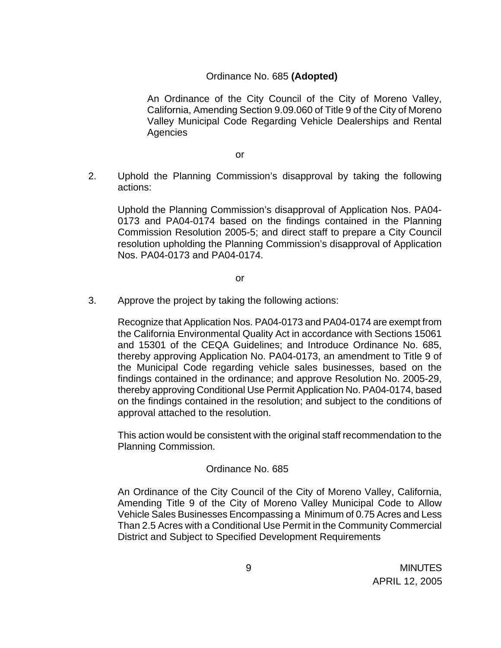# Ordinance No. 685 **(Adopted)**

An Ordinance of the City Council of the City of Moreno Valley, California, Amending Section 9.09.060 of Title 9 of the City of Moreno Valley Municipal Code Regarding Vehicle Dealerships and Rental **Agencies** 

or

2. Uphold the Planning Commission's disapproval by taking the following actions:

Uphold the Planning Commission's disapproval of Application Nos. PA04- 0173 and PA04-0174 based on the findings contained in the Planning Commission Resolution 2005-5; and direct staff to prepare a City Council resolution upholding the Planning Commission's disapproval of Application Nos. PA04-0173 and PA04-0174.

or

3. Approve the project by taking the following actions:

Recognize that Application Nos. PA04-0173 and PA04-0174 are exempt from the California Environmental Quality Act in accordance with Sections 15061 and 15301 of the CEQA Guidelines; and Introduce Ordinance No. 685, thereby approving Application No. PA04-0173, an amendment to Title 9 of the Municipal Code regarding vehicle sales businesses, based on the findings contained in the ordinance; and approve Resolution No. 2005-29, thereby approving Conditional Use Permit Application No. PA04-0174, based on the findings contained in the resolution; and subject to the conditions of approval attached to the resolution.

This action would be consistent with the original staff recommendation to the Planning Commission.

## Ordinance No. 685

An Ordinance of the City Council of the City of Moreno Valley, California, Amending Title 9 of the City of Moreno Valley Municipal Code to Allow Vehicle Sales Businesses Encompassing a Minimum of 0.75 Acres and Less Than 2.5 Acres with a Conditional Use Permit in the Community Commercial District and Subject to Specified Development Requirements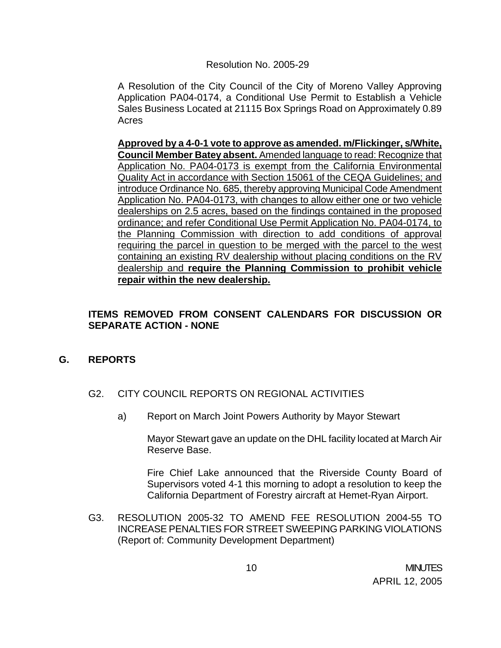### Resolution No. 2005-29

A Resolution of the City Council of the City of Moreno Valley Approving Application PA04-0174, a Conditional Use Permit to Establish a Vehicle Sales Business Located at 21115 Box Springs Road on Approximately 0.89 Acres

**Approved by a 4-0-1 vote to approve as amended. m/Flickinger, s/White, Council Member Batey absent.** Amended language to read: Recognize that Application No. PA04-0173 is exempt from the California Environmental Quality Act in accordance with Section 15061 of the CEQA Guidelines; and introduce Ordinance No. 685, thereby approving Municipal Code Amendment Application No. PA04-0173, with changes to allow either one or two vehicle dealerships on 2.5 acres, based on the findings contained in the proposed ordinance; and refer Conditional Use Permit Application No. PA04-0174, to the Planning Commission with direction to add conditions of approval requiring the parcel in question to be merged with the parcel to the west containing an existing RV dealership without placing conditions on the RV dealership and **require the Planning Commission to prohibit vehicle repair within the new dealership.**

# **ITEMS REMOVED FROM CONSENT CALENDARS FOR DISCUSSION OR SEPARATE ACTION - NONE**

## **G. REPORTS**

- G2. CITY COUNCIL REPORTS ON REGIONAL ACTIVITIES
	- a) Report on March Joint Powers Authority by Mayor Stewart

 Mayor Stewart gave an update on the DHL facility located at March Air Reserve Base.

 Fire Chief Lake announced that the Riverside County Board of Supervisors voted 4-1 this morning to adopt a resolution to keep the California Department of Forestry aircraft at Hemet-Ryan Airport.

G3. RESOLUTION 2005-32 TO AMEND FEE RESOLUTION 2004-55 TO INCREASE PENALTIES FOR STREET SWEEPING PARKING VIOLATIONS (Report of: Community Development Department)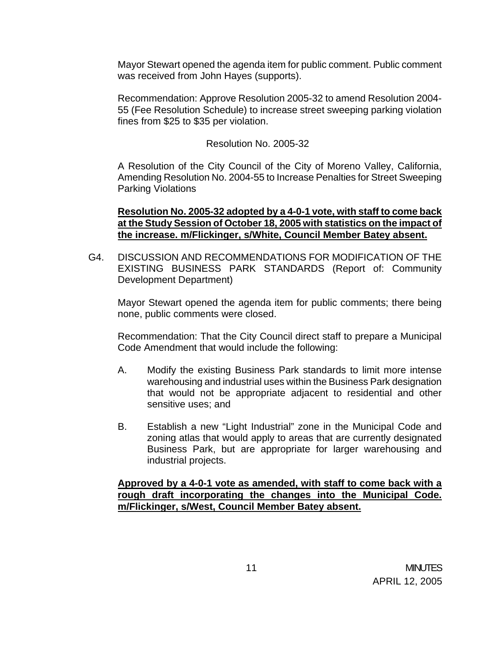Mayor Stewart opened the agenda item for public comment. Public comment was received from John Hayes (supports).

 Recommendation: Approve Resolution 2005-32 to amend Resolution 2004- 55 (Fee Resolution Schedule) to increase street sweeping parking violation fines from \$25 to \$35 per violation.

### Resolution No. 2005-32

 A Resolution of the City Council of the City of Moreno Valley, California, Amending Resolution No. 2004-55 to Increase Penalties for Street Sweeping Parking Violations

## **Resolution No. 2005-32 adopted by a 4-0-1 vote, with staff to come back at the Study Session of October 18, 2005 with statistics on the impact of the increase. m/Flickinger, s/White, Council Member Batey absent.**

G4. DISCUSSION AND RECOMMENDATIONS FOR MODIFICATION OF THE EXISTING BUSINESS PARK STANDARDS (Report of: Community Development Department)

 Mayor Stewart opened the agenda item for public comments; there being none, public comments were closed.

Recommendation: That the City Council direct staff to prepare a Municipal Code Amendment that would include the following:

- A. Modify the existing Business Park standards to limit more intense warehousing and industrial uses within the Business Park designation that would not be appropriate adjacent to residential and other sensitive uses; and
- B. Establish a new "Light Industrial" zone in the Municipal Code and zoning atlas that would apply to areas that are currently designated Business Park, but are appropriate for larger warehousing and industrial projects.

**Approved by a 4-0-1 vote as amended, with staff to come back with a rough draft incorporating the changes into the Municipal Code. m/Flickinger, s/West, Council Member Batey absent.**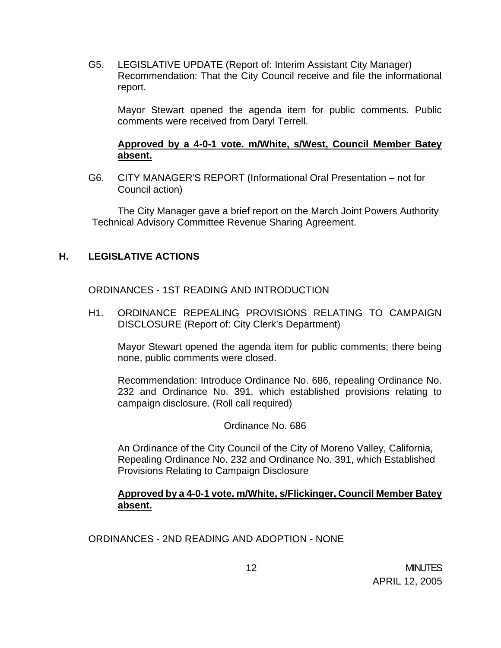G5. LEGISLATIVE UPDATE (Report of: Interim Assistant City Manager) Recommendation: That the City Council receive and file the informational report.

 Mayor Stewart opened the agenda item for public comments. Public comments were received from Daryl Terrell.

# **Approved by a 4-0-1 vote. m/White, s/West, Council Member Batey absent.**

 G6. CITY MANAGER'S REPORT (Informational Oral Presentation – not for Council action)

The City Manager gave a brief report on the March Joint Powers Authority Technical Advisory Committee Revenue Sharing Agreement.

# **H. LEGISLATIVE ACTIONS**

ORDINANCES - 1ST READING AND INTRODUCTION

H1. ORDINANCE REPEALING PROVISIONS RELATING TO CAMPAIGN DISCLOSURE (Report of: City Clerk's Department)

 Mayor Stewart opened the agenda item for public comments; there being none, public comments were closed.

Recommendation: Introduce Ordinance No. 686, repealing Ordinance No. 232 and Ordinance No. 391, which established provisions relating to campaign disclosure. (Roll call required)

Ordinance No. 686

 An Ordinance of the City Council of the City of Moreno Valley, California, Repealing Ordinance No. 232 and Ordinance No. 391, which Established Provisions Relating to Campaign Disclosure

# **Approved by a 4-0-1 vote. m/White, s/Flickinger, Council Member Batey absent.**

ORDINANCES - 2ND READING AND ADOPTION - NONE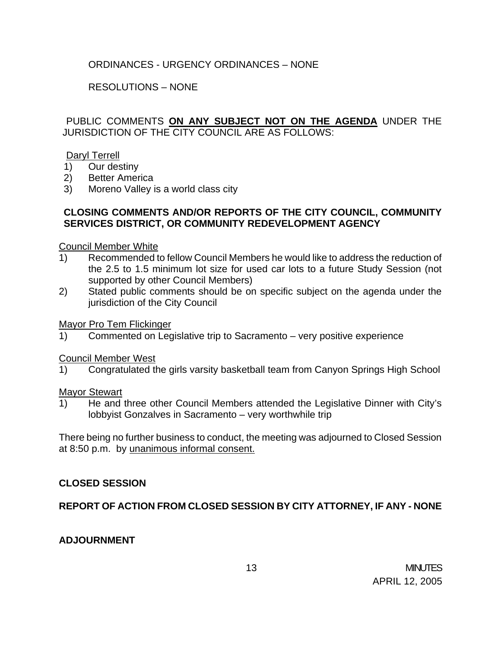# ORDINANCES - URGENCY ORDINANCES – NONE

# RESOLUTIONS – NONE

PUBLIC COMMENTS **ON ANY SUBJECT NOT ON THE AGENDA** UNDER THE JURISDICTION OF THE CITY COUNCIL ARE AS FOLLOWS:

### Daryl Terrell

- 1) Our destiny
- 2) Better America
- 3) Moreno Valley is a world class city

### **CLOSING COMMENTS AND/OR REPORTS OF THE CITY COUNCIL, COMMUNITY SERVICES DISTRICT, OR COMMUNITY REDEVELOPMENT AGENCY**

#### Council Member White

- 1) Recommended to fellow Council Members he would like to address the reduction of the 2.5 to 1.5 minimum lot size for used car lots to a future Study Session (not supported by other Council Members)
- 2) Stated public comments should be on specific subject on the agenda under the jurisdiction of the City Council

#### Mayor Pro Tem Flickinger

1) Commented on Legislative trip to Sacramento – very positive experience

#### Council Member West

1) Congratulated the girls varsity basketball team from Canyon Springs High School

#### **Mayor Stewart**

1) He and three other Council Members attended the Legislative Dinner with City's lobbyist Gonzalves in Sacramento – very worthwhile trip

There being no further business to conduct, the meeting was adjourned to Closed Session at 8:50 p.m. by unanimous informal consent.

## **CLOSED SESSION**

**REPORT OF ACTION FROM CLOSED SESSION BY CITY ATTORNEY, IF ANY - NONE** 

## **ADJOURNMENT**